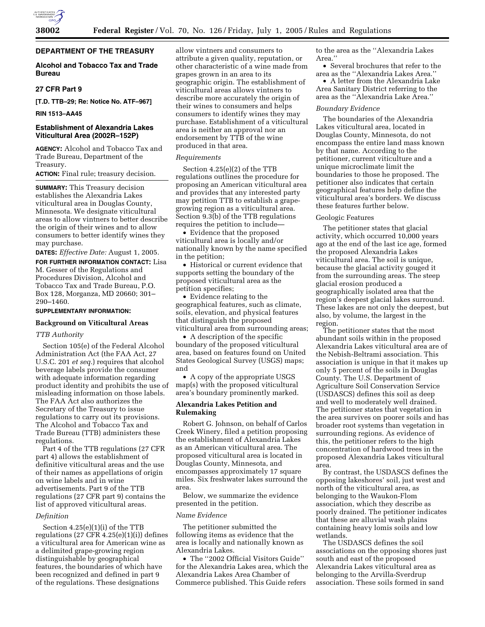

# **DEPARTMENT OF THE TREASURY**

# **Alcohol and Tobacco Tax and Trade Bureau**

# **27 CFR Part 9**

**[T.D. TTB–29; Re: Notice No. ATF–967]** 

# **RIN 1513–AA45**

# **Establishment of Alexandria Lakes Viticultural Area (2002R–152P)**

**AGENCY:** Alcohol and Tobacco Tax and Trade Bureau, Department of the Treasury.

**ACTION:** Final rule; treasury decision.

**SUMMARY:** This Treasury decision establishes the Alexandria Lakes viticultural area in Douglas County, Minnesota. We designate viticultural areas to allow vintners to better describe the origin of their wines and to allow consumers to better identify wines they may purchase.

**DATES:** *Effective Date:* August 1, 2005.

**FOR FURTHER INFORMATION CONTACT:** Lisa M. Gesser of the Regulations and Procedures Division, Alcohol and Tobacco Tax and Trade Bureau, P.O. Box 128, Morganza, MD 20660; 301– 290–1460.

## **SUPPLEMENTARY INFORMATION:**

## **Background on Viticultural Areas**

## *TTB Authority*

Section 105(e) of the Federal Alcohol Administration Act (the FAA Act, 27 U.S.C. 201 *et seq.*) requires that alcohol beverage labels provide the consumer with adequate information regarding product identity and prohibits the use of misleading information on those labels. The FAA Act also authorizes the Secretary of the Treasury to issue regulations to carry out its provisions. The Alcohol and Tobacco Tax and Trade Bureau (TTB) administers these regulations.

Part 4 of the TTB regulations (27 CFR part 4) allows the establishment of definitive viticultural areas and the use of their names as appellations of origin on wine labels and in wine advertisements. Part 9 of the TTB regulations (27 CFR part 9) contains the list of approved viticultural areas.

#### *Definition*

Section 4.25(e)(1)(i) of the TTB regulations  $(27 \text{ CFR } 4.25(e)(1)(i))$  defines a viticultural area for American wine as a delimited grape-growing region distinguishable by geographical features, the boundaries of which have been recognized and defined in part 9 of the regulations. These designations

allow vintners and consumers to attribute a given quality, reputation, or other characteristic of a wine made from grapes grown in an area to its geographic origin. The establishment of viticultural areas allows vintners to describe more accurately the origin of their wines to consumers and helps consumers to identify wines they may purchase. Establishment of a viticultural area is neither an approval nor an endorsement by TTB of the wine produced in that area.

#### *Requirements*

Section 4.25(e)(2) of the TTB regulations outlines the procedure for proposing an American viticultural area and provides that any interested party may petition TTB to establish a grapegrowing region as a viticultural area. Section 9.3(b) of the TTB regulations requires the petition to include—

• Evidence that the proposed viticultural area is locally and/or nationally known by the name specified in the petition;

• Historical or current evidence that supports setting the boundary of the proposed viticultural area as the petition specifies;

• Evidence relating to the geographical features, such as climate, soils, elevation, and physical features that distinguish the proposed viticultural area from surrounding areas;

• A description of the specific boundary of the proposed viticultural area, based on features found on United States Geological Survey (USGS) maps; and

• A copy of the appropriate USGS map(s) with the proposed viticultural area's boundary prominently marked.

## **Alexandria Lakes Petition and Rulemaking**

Robert G. Johnson, on behalf of Carlos Creek Winery, filed a petition proposing the establishment of Alexandria Lakes as an American viticultural area. The proposed viticultural area is located in Douglas County, Minnesota, and encompasses approximately 17 square miles. Six freshwater lakes surround the area.

Below, we summarize the evidence presented in the petition.

#### *Name Evidence*

The petitioner submitted the following items as evidence that the area is locally and nationally known as Alexandria Lakes.

• The ''2002 Official Visitors Guide'' for the Alexandria Lakes area, which the Alexandria Lakes Area Chamber of Commerce published. This Guide refers

to the area as the ''Alexandria Lakes Area.''

• Several brochures that refer to the area as the ''Alexandria Lakes Area.''

• A letter from the Alexandria Lake Area Sanitary District referring to the area as the ''Alexandria Lake Area.''

## *Boundary Evidence*

The boundaries of the Alexandria Lakes viticultural area, located in Douglas County, Minnesota, do not encompass the entire land mass known by that name. According to the petitioner, current viticulture and a unique microclimate limit the boundaries to those he proposed. The petitioner also indicates that certain geographical features help define the viticultural area's borders. We discuss these features further below.

#### Geologic Features

The petitioner states that glacial activity, which occurred 10,000 years ago at the end of the last ice age, formed the proposed Alexandria Lakes viticultural area. The soil is unique, because the glacial activity gouged it from the surrounding areas. The steep glacial erosion produced a geographically isolated area that the region's deepest glacial lakes surround. These lakes are not only the deepest, but also, by volume, the largest in the region.

The petitioner states that the most abundant soils within in the proposed Alexandria Lakes viticultural area are of the Nebish-Beltrami association. This association is unique in that it makes up only 5 percent of the soils in Douglas County. The U.S. Department of Agriculture Soil Conservation Service (USDASCS) defines this soil as deep and well to moderately well drained. The petitioner states that vegetation in the area survives on poorer soils and has broader root systems than vegetation in surrounding regions. As evidence of this, the petitioner refers to the high concentration of hardwood trees in the proposed Alexandria Lakes viticultural area.

By contrast, the USDASCS defines the opposing lakeshores' soil, just west and north of the viticultural area, as belonging to the Waukon-Flom association, which they describe as poorly drained. The petitioner indicates that these are alluvial wash plains containing heavy lomis soils and low wetlands.

The USDASCS defines the soil associations on the opposing shores just south and east of the proposed Alexandria Lakes viticultural area as belonging to the Arvilla-Sverdrup association. These soils formed in sand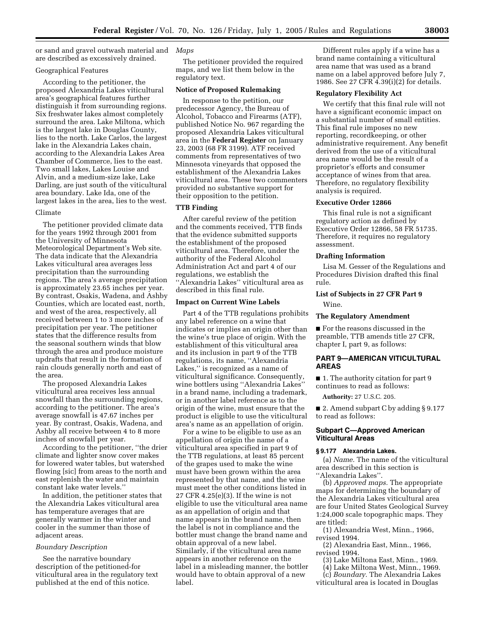or sand and gravel outwash material and *Maps*  are described as excessively drained.

## Geographical Features

According to the petitioner, the proposed Alexandria Lakes viticultural area's geographical features further distinguish it from surrounding regions. Six freshwater lakes almost completely surround the area. Lake Miltona, which is the largest lake in Douglas County, lies to the north. Lake Carlos, the largest lake in the Alexandria Lakes chain, according to the Alexandria Lakes Area Chamber of Commerce, lies to the east. Two small lakes, Lakes Louise and Alvin, and a medium-size lake, Lake Darling, are just south of the viticultural area boundary. Lake Ida, one of the largest lakes in the area, lies to the west.

### Climate

The petitioner provided climate data for the years 1992 through 2001 from the University of Minnesota Meteorological Department's Web site. The data indicate that the Alexandria Lakes viticultural area averages less precipitation than the surrounding regions. The area's average precipitation is approximately 23.65 inches per year. By contrast, Osakis, Wadena, and Ashby Counties, which are located east, north, and west of the area, respectively, all received between 1 to 3 more inches of precipitation per year. The petitioner states that the difference results from the seasonal southern winds that blow through the area and produce moisture updrafts that result in the formation of rain clouds generally north and east of the area.

The proposed Alexandria Lakes viticultural area receives less annual snowfall than the surrounding regions, according to the petitioner. The area's average snowfall is 47.67 inches per year. By contrast, Osakis, Wadena, and Ashby all receive between 4 to 8 more inches of snowfall per year.

According to the petitioner, ''the drier climate and lighter snow cover makes for lowered water tables, but watershed flowing [sic] from areas to the north and east replenish the water and maintain constant lake water levels.''

In addition, the petitioner states that the Alexandria Lakes viticultural area has temperature averages that are generally warmer in the winter and cooler in the summer than those of adjacent areas.

## *Boundary Description*

See the narrative boundary description of the petitioned-for viticultural area in the regulatory text published at the end of this notice.

The petitioner provided the required maps, and we list them below in the regulatory text.

## **Notice of Proposed Rulemaking**

In response to the petition, our predecessor Agency, the Bureau of Alcohol, Tobacco and Firearms (ATF), published Notice No. 967 regarding the proposed Alexandria Lakes viticultural area in the **Federal Register** on January 23, 2003 (68 FR 3199). ATF received comments from representatives of two Minnesota vineyards that opposed the establishment of the Alexandria Lakes viticultural area. These two commenters provided no substantive support for their opposition to the petition.

# **TTB Finding**

After careful review of the petition and the comments received, TTB finds that the evidence submitted supports the establishment of the proposed viticultural area. Therefore, under the authority of the Federal Alcohol Administration Act and part 4 of our regulations, we establish the ''Alexandria Lakes'' viticultural area as described in this final rule.

#### **Impact on Current Wine Labels**

Part 4 of the TTB regulations prohibits any label reference on a wine that indicates or implies an origin other than the wine's true place of origin. With the establishment of this viticultural area and its inclusion in part 9 of the TTB regulations, its name, ''Alexandria Lakes,'' is recognized as a name of viticultural significance. Consequently, wine bottlers using ''Alexandria Lakes'' in a brand name, including a trademark, or in another label reference as to the origin of the wine, must ensure that the product is eligible to use the viticultural area's name as an appellation of origin.

For a wine to be eligible to use as an appellation of origin the name of a viticultural area specified in part 9 of the TTB regulations, at least 85 percent of the grapes used to make the wine must have been grown within the area represented by that name, and the wine must meet the other conditions listed in 27 CFR 4.25(e)(3). If the wine is not eligible to use the viticultural area name as an appellation of origin and that name appears in the brand name, then the label is not in compliance and the bottler must change the brand name and obtain approval of a new label. Similarly, if the viticultural area name appears in another reference on the label in a misleading manner, the bottler would have to obtain approval of a new label.

Different rules apply if a wine has a brand name containing a viticultural area name that was used as a brand name on a label approved before July 7, 1986. See 27 CFR 4.39(i)(2) for details.

#### **Regulatory Flexibility Act**

We certify that this final rule will not have a significant economic impact on a substantial number of small entities. This final rule imposes no new reporting, recordkeeping, or other administrative requirement. Any benefit derived from the use of a viticultural area name would be the result of a proprietor's efforts and consumer acceptance of wines from that area. Therefore, no regulatory flexibility analysis is required.

### **Executive Order 12866**

This final rule is not a significant regulatory action as defined by Executive Order 12866, 58 FR 51735. Therefore, it requires no regulatory assessment.

## **Drafting Information**

Lisa M. Gesser of the Regulations and Procedures Division drafted this final rule.

# **List of Subjects in 27 CFR Part 9**  Wine.

## **The Regulatory Amendment**

■ For the reasons discussed in the preamble, TTB amends title 27 CFR, chapter I, part 9, as follows:

# **PART 9—AMERICAN VITICULTURAL AREAS**

■ 1. The authority citation for part 9 continues to read as follows:

**Authority:** 27 U.S.C. 205.

■ 2. Amend subpart C by adding § 9.177 to read as follows:

## **Subpart C—Approved American Viticultural Areas**

## **§ 9.177 Alexandria Lakes.**

(a) *Name.* The name of the viticultural area described in this section is ''Alexandria Lakes''.

(b) *Approved maps.* The appropriate maps for determining the boundary of the Alexandria Lakes viticultural area are four United States Geological Survey 1:24,000 scale topographic maps. They are titled:

(1) Alexandria West, Minn., 1966, revised 1994.

(2) Alexandria East, Minn., 1966, revised 1994.

- (3) Lake Miltona East, Minn., 1969.
- (4) Lake Miltona West, Minn., 1969.
- (c) *Boundary.* The Alexandria Lakes viticultural area is located in Douglas